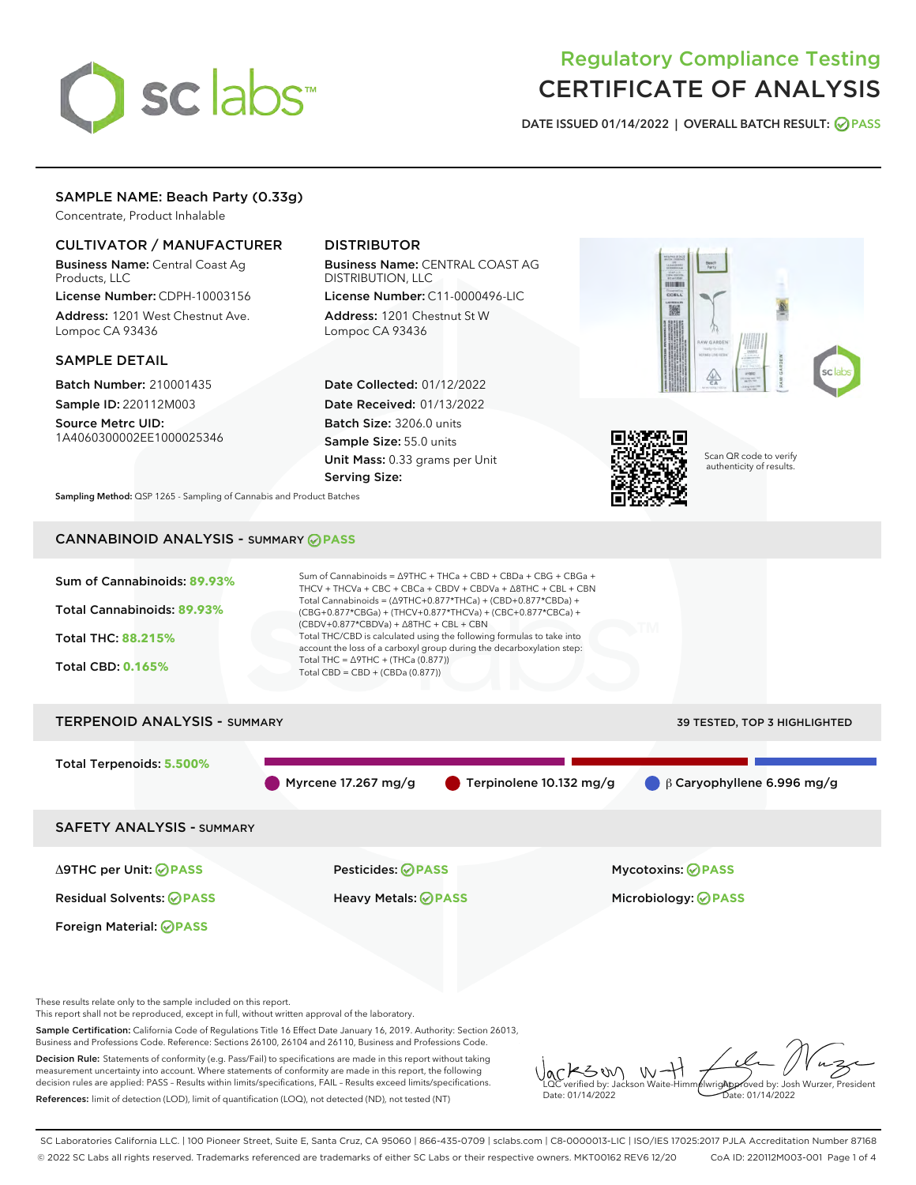# sclabs

# Regulatory Compliance Testing CERTIFICATE OF ANALYSIS

DATE ISSUED 01/14/2022 | OVERALL BATCH RESULT: @ PASS

# SAMPLE NAME: Beach Party (0.33g)

Concentrate, Product Inhalable

# CULTIVATOR / MANUFACTURER

Business Name: Central Coast Ag Products, LLC

License Number: CDPH-10003156 Address: 1201 West Chestnut Ave. Lompoc CA 93436

#### SAMPLE DETAIL

Batch Number: 210001435 Sample ID: 220112M003

Source Metrc UID: 1A4060300002EE1000025346

# DISTRIBUTOR

Business Name: CENTRAL COAST AG DISTRIBUTION, LLC License Number: C11-0000496-LIC

Address: 1201 Chestnut St W Lompoc CA 93436

Date Collected: 01/12/2022 Date Received: 01/13/2022 Batch Size: 3206.0 units Sample Size: 55.0 units Unit Mass: 0.33 grams per Unit Serving Size:





Scan QR code to verify authenticity of results.

Sampling Method: QSP 1265 - Sampling of Cannabis and Product Batches

# CANNABINOID ANALYSIS - SUMMARY **PASS**



Sample Certification: California Code of Regulations Title 16 Effect Date January 16, 2019. Authority: Section 26013, Business and Professions Code. Reference: Sections 26100, 26104 and 26110, Business and Professions Code. Decision Rule: Statements of conformity (e.g. Pass/Fail) to specifications are made in this report without taking

measurement uncertainty into account. Where statements of conformity are made in this report, the following decision rules are applied: PASS – Results within limits/specifications, FAIL – Results exceed limits/specifications. References: limit of detection (LOD), limit of quantification (LOQ), not detected (ND), not tested (NT)

SW  $W$ **AlwrigApproved by: Josh Wurzer, President** LQC verified by: Jackson Waite-Himmelwright Date: 01/14/2022 Pate: 01/14/2022

SC Laboratories California LLC. | 100 Pioneer Street, Suite E, Santa Cruz, CA 95060 | 866-435-0709 | sclabs.com | C8-0000013-LIC | ISO/IES 17025:2017 PJLA Accreditation Number 87168 © 2022 SC Labs all rights reserved. Trademarks referenced are trademarks of either SC Labs or their respective owners. MKT00162 REV6 12/20 CoA ID: 220112M003-001 Page 1 of 4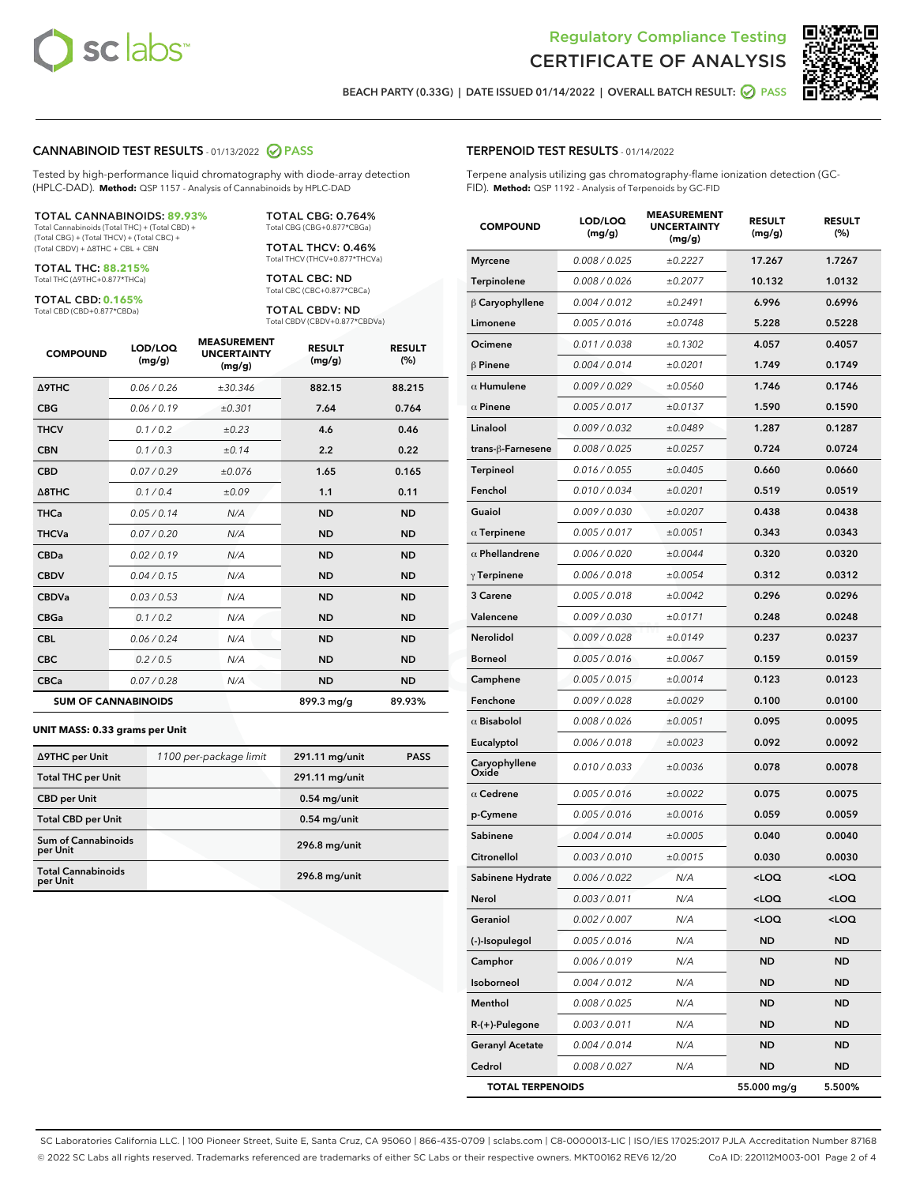



Г

BEACH PARTY (0.33G) | DATE ISSUED 01/14/2022 | OVERALL BATCH RESULT: 2 PASS

## CANNABINOID TEST RESULTS - 01/13/2022 2 PASS

Tested by high-performance liquid chromatography with diode-array detection (HPLC-DAD). **Method:** QSP 1157 - Analysis of Cannabinoids by HPLC-DAD

#### TOTAL CANNABINOIDS: **89.93%**

Total Cannabinoids (Total THC) + (Total CBD) + (Total CBG) + (Total THCV) + (Total CBC) + (Total CBDV) + ∆8THC + CBL + CBN

TOTAL THC: **88.215%** Total THC (∆9THC+0.877\*THCa)

TOTAL CBD: **0.165%**

Total CBD (CBD+0.877\*CBDa)

TOTAL CBG: 0.764% Total CBG (CBG+0.877\*CBGa)

TOTAL THCV: 0.46% Total THCV (THCV+0.877\*THCVa)

TOTAL CBC: ND Total CBC (CBC+0.877\*CBCa)

TOTAL CBDV: ND Total CBDV (CBDV+0.877\*CBDVa)

| <b>COMPOUND</b>            | LOD/LOQ<br>(mg/g) | <b>MEASUREMENT</b><br><b>UNCERTAINTY</b><br>(mg/g) | <b>RESULT</b><br>(mg/g) | <b>RESULT</b><br>(%) |
|----------------------------|-------------------|----------------------------------------------------|-------------------------|----------------------|
| <b>A9THC</b>               | 0.06 / 0.26       | ±30.346                                            | 882.15                  | 88.215               |
| <b>CBG</b>                 | 0.06/0.19         | ±0.301                                             | 7.64                    | 0.764                |
| <b>THCV</b>                | 0.1 / 0.2         | ±0.23                                              | 4.6                     | 0.46                 |
| <b>CBN</b>                 | 0.1 / 0.3         | ±0.14                                              | 2.2                     | 0.22                 |
| <b>CBD</b>                 | 0.07/0.29         | ±0.076                                             | 1.65                    | 0.165                |
| $\triangle$ 8THC           | 0.1 / 0.4         | ±0.09                                              | 1.1                     | 0.11                 |
| <b>THCa</b>                | 0.05/0.14         | N/A                                                | <b>ND</b>               | <b>ND</b>            |
| <b>THCVa</b>               | 0.07/0.20         | N/A                                                | <b>ND</b>               | <b>ND</b>            |
| <b>CBDa</b>                | 0.02/0.19         | N/A                                                | <b>ND</b>               | <b>ND</b>            |
| <b>CBDV</b>                | 0.04/0.15         | N/A                                                | <b>ND</b>               | <b>ND</b>            |
| <b>CBDVa</b>               | 0.03/0.53         | N/A                                                | <b>ND</b>               | <b>ND</b>            |
| <b>CBGa</b>                | 0.1/0.2           | N/A                                                | <b>ND</b>               | <b>ND</b>            |
| <b>CBL</b>                 | 0.06 / 0.24       | N/A                                                | <b>ND</b>               | <b>ND</b>            |
| <b>CBC</b>                 | 0.2 / 0.5         | N/A                                                | <b>ND</b>               | <b>ND</b>            |
| <b>CBCa</b>                | 0.07 / 0.28       | N/A                                                | <b>ND</b>               | <b>ND</b>            |
| <b>SUM OF CANNABINOIDS</b> |                   |                                                    | 899.3 mg/g              | 89.93%               |

#### **UNIT MASS: 0.33 grams per Unit**

| ∆9THC per Unit                         | 1100 per-package limit | 291.11 mg/unit | <b>PASS</b> |
|----------------------------------------|------------------------|----------------|-------------|
| <b>Total THC per Unit</b>              |                        | 291.11 mg/unit |             |
| <b>CBD per Unit</b>                    |                        | $0.54$ mg/unit |             |
| <b>Total CBD per Unit</b>              |                        | $0.54$ mg/unit |             |
| <b>Sum of Cannabinoids</b><br>per Unit |                        | 296.8 mg/unit  |             |
| <b>Total Cannabinoids</b><br>per Unit  |                        | 296.8 mg/unit  |             |

Terpene analysis utilizing gas chromatography-flame ionization detection (GC-FID). **Method:** QSP 1192 - Analysis of Terpenoids by GC-FID

| <b>COMPOUND</b>         | LOD/LOQ<br>(mg/g) | <b>MEASUREMENT</b><br><b>UNCERTAINTY</b><br>(mg/g) | <b>RESULT</b><br>(mg/g)                         | <b>RESULT</b><br>(%) |
|-------------------------|-------------------|----------------------------------------------------|-------------------------------------------------|----------------------|
| <b>Myrcene</b>          | 0.008 / 0.025     | ±0.2227                                            | 17.267                                          | 1.7267               |
| Terpinolene             | 0.008 / 0.026     | ±0.2077                                            | 10.132                                          | 1.0132               |
| $\beta$ Caryophyllene   | 0.004 / 0.012     | ±0.2491                                            | 6.996                                           | 0.6996               |
| Limonene                | 0.005 / 0.016     | ±0.0748                                            | 5.228                                           | 0.5228               |
| Ocimene                 | 0.011/0.038       | ±0.1302                                            | 4.057                                           | 0.4057               |
| $\beta$ Pinene          | 0.004 / 0.014     | ±0.0201                                            | 1.749                                           | 0.1749               |
| $\alpha$ Humulene       | 0.009/0.029       | ±0.0560                                            | 1.746                                           | 0.1746               |
| $\alpha$ Pinene         | 0.005 / 0.017     | ±0.0137                                            | 1.590                                           | 0.1590               |
| Linalool                | 0.009 / 0.032     | ±0.0489                                            | 1.287                                           | 0.1287               |
| trans-ß-Farnesene       | 0.008 / 0.025     | ±0.0257                                            | 0.724                                           | 0.0724               |
| Terpineol               | 0.016 / 0.055     | ±0.0405                                            | 0.660                                           | 0.0660               |
| Fenchol                 | 0.010 / 0.034     | ±0.0201                                            | 0.519                                           | 0.0519               |
| Guaiol                  | 0.009 / 0.030     | ±0.0207                                            | 0.438                                           | 0.0438               |
| $\alpha$ Terpinene      | 0.005 / 0.017     | ±0.0051                                            | 0.343                                           | 0.0343               |
| $\alpha$ Phellandrene   | 0.006 / 0.020     | ±0.0044                                            | 0.320                                           | 0.0320               |
| $\gamma$ Terpinene      | 0.006 / 0.018     | ±0.0054                                            | 0.312                                           | 0.0312               |
| 3 Carene                | 0.005 / 0.018     | ±0.0042                                            | 0.296                                           | 0.0296               |
| Valencene               | 0.009 / 0.030     | ±0.0171                                            | 0.248                                           | 0.0248               |
| Nerolidol               | 0.009 / 0.028     | ±0.0149                                            | 0.237                                           | 0.0237               |
| <b>Borneol</b>          | 0.005 / 0.016     | ±0.0067                                            | 0.159                                           | 0.0159               |
| Camphene                | 0.005 / 0.015     | ±0.0014                                            | 0.123                                           | 0.0123               |
| Fenchone                | 0.009 / 0.028     | ±0.0029                                            | 0.100                                           | 0.0100               |
| $\alpha$ Bisabolol      | 0.008 / 0.026     | ±0.0051                                            | 0.095                                           | 0.0095               |
| Eucalyptol              | 0.006 / 0.018     | ±0.0023                                            | 0.092                                           | 0.0092               |
| Caryophyllene<br>Oxide  | 0.010 / 0.033     | ±0.0036                                            | 0.078                                           | 0.0078               |
| $\alpha$ Cedrene        | 0.005 / 0.016     | ±0.0022                                            | 0.075                                           | 0.0075               |
| p-Cymene                | 0.005 / 0.016     | ±0.0016                                            | 0.059                                           | 0.0059               |
| Sabinene                | 0.004 / 0.014     | ±0.0005                                            | 0.040                                           | 0.0040               |
| Citronellol             | 0.003 / 0.010     | ±0.0015                                            | 0.030                                           | 0.0030               |
| Sabinene Hydrate        | 0.006 / 0.022     | N/A                                                | <loq< th=""><th><loq< th=""></loq<></th></loq<> | <loq< th=""></loq<>  |
| Nerol                   | 0.003 / 0.011     | N/A                                                | <loq< th=""><th><loq< th=""></loq<></th></loq<> | <loq< th=""></loq<>  |
| Geraniol                | 0.002 / 0.007     | N/A                                                | <loq< th=""><th><loq< th=""></loq<></th></loq<> | <loq< th=""></loq<>  |
| (-)-Isopulegol          | 0.005 / 0.016     | N/A                                                | <b>ND</b>                                       | ND                   |
| Camphor                 | 0.006 / 0.019     | N/A                                                | <b>ND</b>                                       | <b>ND</b>            |
| Isoborneol              | 0.004 / 0.012     | N/A                                                | ND                                              | ND                   |
| Menthol                 | 0.008 / 0.025     | N/A                                                | ND                                              | ND                   |
| R-(+)-Pulegone          | 0.003 / 0.011     | N/A                                                | <b>ND</b>                                       | ND                   |
| <b>Geranyl Acetate</b>  | 0.004 / 0.014     | N/A                                                | ND                                              | ND                   |
| Cedrol                  | 0.008 / 0.027     | N/A                                                | <b>ND</b>                                       | <b>ND</b>            |
| <b>TOTAL TERPENOIDS</b> |                   |                                                    | 55.000 mg/g                                     | 5.500%               |

SC Laboratories California LLC. | 100 Pioneer Street, Suite E, Santa Cruz, CA 95060 | 866-435-0709 | sclabs.com | C8-0000013-LIC | ISO/IES 17025:2017 PJLA Accreditation Number 87168 © 2022 SC Labs all rights reserved. Trademarks referenced are trademarks of either SC Labs or their respective owners. MKT00162 REV6 12/20 CoA ID: 220112M003-001 Page 2 of 4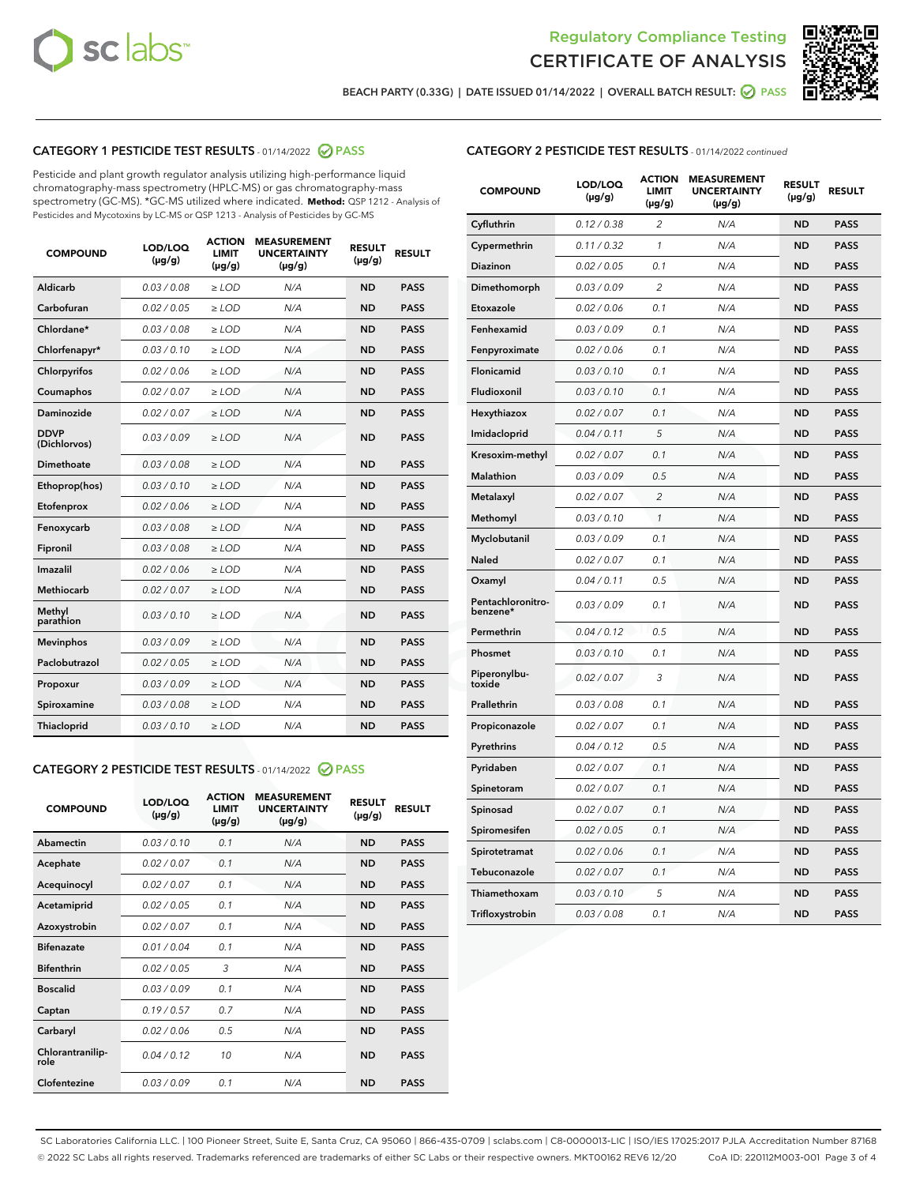



BEACH PARTY (0.33G) | DATE ISSUED 01/14/2022 | OVERALL BATCH RESULT: 2 PASS

# CATEGORY 1 PESTICIDE TEST RESULTS - 01/14/2022 2 PASS

Pesticide and plant growth regulator analysis utilizing high-performance liquid chromatography-mass spectrometry (HPLC-MS) or gas chromatography-mass spectrometry (GC-MS). \*GC-MS utilized where indicated. **Method:** QSP 1212 - Analysis of Pesticides and Mycotoxins by LC-MS or QSP 1213 - Analysis of Pesticides by GC-MS

| <b>COMPOUND</b>             | LOD/LOQ<br>$(\mu g/g)$ | <b>ACTION</b><br><b>LIMIT</b><br>$(\mu g/g)$ | <b>MEASUREMENT</b><br><b>UNCERTAINTY</b><br>$(\mu g/g)$ | <b>RESULT</b><br>$(\mu g/g)$ | <b>RESULT</b> |
|-----------------------------|------------------------|----------------------------------------------|---------------------------------------------------------|------------------------------|---------------|
| Aldicarb                    | 0.03 / 0.08            | $\ge$ LOD                                    | N/A                                                     | <b>ND</b>                    | <b>PASS</b>   |
| Carbofuran                  | 0.02 / 0.05            | $\ge$ LOD                                    | N/A                                                     | <b>ND</b>                    | <b>PASS</b>   |
| Chlordane*                  | 0.03 / 0.08            | $\ge$ LOD                                    | N/A                                                     | <b>ND</b>                    | <b>PASS</b>   |
| Chlorfenapyr*               | 0.03/0.10              | $\ge$ LOD                                    | N/A                                                     | <b>ND</b>                    | <b>PASS</b>   |
| Chlorpyrifos                | 0.02 / 0.06            | $\ge$ LOD                                    | N/A                                                     | <b>ND</b>                    | <b>PASS</b>   |
| Coumaphos                   | 0.02 / 0.07            | $\ge$ LOD                                    | N/A                                                     | <b>ND</b>                    | <b>PASS</b>   |
| Daminozide                  | 0.02 / 0.07            | $\ge$ LOD                                    | N/A                                                     | <b>ND</b>                    | <b>PASS</b>   |
| <b>DDVP</b><br>(Dichlorvos) | 0.03/0.09              | $\ge$ LOD                                    | N/A                                                     | <b>ND</b>                    | <b>PASS</b>   |
| Dimethoate                  | 0.03 / 0.08            | $>$ LOD                                      | N/A                                                     | <b>ND</b>                    | <b>PASS</b>   |
| Ethoprop(hos)               | 0.03/0.10              | $\ge$ LOD                                    | N/A                                                     | <b>ND</b>                    | <b>PASS</b>   |
| Etofenprox                  | 0.02/0.06              | $>$ LOD                                      | N/A                                                     | <b>ND</b>                    | <b>PASS</b>   |
| Fenoxycarb                  | 0.03 / 0.08            | $\geq$ LOD                                   | N/A                                                     | <b>ND</b>                    | <b>PASS</b>   |
| Fipronil                    | 0.03 / 0.08            | $>$ LOD                                      | N/A                                                     | <b>ND</b>                    | <b>PASS</b>   |
| Imazalil                    | 0.02 / 0.06            | $\ge$ LOD                                    | N/A                                                     | <b>ND</b>                    | <b>PASS</b>   |
| <b>Methiocarb</b>           | 0.02 / 0.07            | $\ge$ LOD                                    | N/A                                                     | <b>ND</b>                    | <b>PASS</b>   |
| Methyl<br>parathion         | 0.03/0.10              | $\ge$ LOD                                    | N/A                                                     | <b>ND</b>                    | <b>PASS</b>   |
| <b>Mevinphos</b>            | 0.03/0.09              | $\ge$ LOD                                    | N/A                                                     | <b>ND</b>                    | <b>PASS</b>   |
| Paclobutrazol               | 0.02 / 0.05            | $\ge$ LOD                                    | N/A                                                     | <b>ND</b>                    | <b>PASS</b>   |
| Propoxur                    | 0.03/0.09              | $\ge$ LOD                                    | N/A                                                     | <b>ND</b>                    | <b>PASS</b>   |
| Spiroxamine                 | 0.03 / 0.08            | $\ge$ LOD                                    | N/A                                                     | <b>ND</b>                    | <b>PASS</b>   |
| <b>Thiacloprid</b>          | 0.03/0.10              | $\ge$ LOD                                    | N/A                                                     | <b>ND</b>                    | <b>PASS</b>   |

#### CATEGORY 2 PESTICIDE TEST RESULTS - 01/14/2022 2 PASS

| <b>COMPOUND</b>          | LOD/LOQ<br>$(\mu g/g)$ | <b>ACTION</b><br><b>LIMIT</b><br>$(\mu g/g)$ | <b>MEASUREMENT</b><br><b>UNCERTAINTY</b><br>$(\mu g/g)$ | <b>RESULT</b><br>$(\mu g/g)$ | <b>RESULT</b> |
|--------------------------|------------------------|----------------------------------------------|---------------------------------------------------------|------------------------------|---------------|
| Abamectin                | 0.03/0.10              | 0.1                                          | N/A                                                     | <b>ND</b>                    | <b>PASS</b>   |
| Acephate                 | 0.02/0.07              | 0.1                                          | N/A                                                     | <b>ND</b>                    | <b>PASS</b>   |
| Acequinocyl              | 0.02/0.07              | 0.1                                          | N/A                                                     | <b>ND</b>                    | <b>PASS</b>   |
| Acetamiprid              | 0.02/0.05              | 0.1                                          | N/A                                                     | <b>ND</b>                    | <b>PASS</b>   |
| Azoxystrobin             | 0.02/0.07              | 0.1                                          | N/A                                                     | <b>ND</b>                    | <b>PASS</b>   |
| <b>Bifenazate</b>        | 0.01/0.04              | 0.1                                          | N/A                                                     | <b>ND</b>                    | <b>PASS</b>   |
| <b>Bifenthrin</b>        | 0.02 / 0.05            | 3                                            | N/A                                                     | <b>ND</b>                    | <b>PASS</b>   |
| <b>Boscalid</b>          | 0.03/0.09              | 0.1                                          | N/A                                                     | <b>ND</b>                    | <b>PASS</b>   |
| Captan                   | 0.19/0.57              | 0.7                                          | N/A                                                     | <b>ND</b>                    | <b>PASS</b>   |
| Carbaryl                 | 0.02/0.06              | 0.5                                          | N/A                                                     | <b>ND</b>                    | <b>PASS</b>   |
| Chlorantranilip-<br>role | 0.04/0.12              | 10                                           | N/A                                                     | <b>ND</b>                    | <b>PASS</b>   |
| Clofentezine             | 0.03/0.09              | 0.1                                          | N/A                                                     | <b>ND</b>                    | <b>PASS</b>   |

| <b>COMPOUND</b>               | LOD/LOQ<br>(µg/g) | <b>ACTION</b><br><b>LIMIT</b><br>(µg/g) | <b>MEASUREMENT</b><br><b>UNCERTAINTY</b><br>$(\mu g/g)$ | <b>RESULT</b><br>(µg/g) | <b>RESULT</b> |
|-------------------------------|-------------------|-----------------------------------------|---------------------------------------------------------|-------------------------|---------------|
| Cyfluthrin                    | 0.12 / 0.38       | $\overline{c}$                          | N/A                                                     | <b>ND</b>               | <b>PASS</b>   |
| Cypermethrin                  | 0.11 / 0.32       | 1                                       | N/A                                                     | <b>ND</b>               | <b>PASS</b>   |
| <b>Diazinon</b>               | 0.02 / 0.05       | 0.1                                     | N/A                                                     | <b>ND</b>               | <b>PASS</b>   |
| Dimethomorph                  | 0.03 / 0.09       | $\overline{2}$                          | N/A                                                     | <b>ND</b>               | <b>PASS</b>   |
| Etoxazole                     | 0.02 / 0.06       | 0.1                                     | N/A                                                     | <b>ND</b>               | <b>PASS</b>   |
| Fenhexamid                    | 0.03 / 0.09       | 0.1                                     | N/A                                                     | <b>ND</b>               | <b>PASS</b>   |
| Fenpyroximate                 | 0.02 / 0.06       | 0.1                                     | N/A                                                     | <b>ND</b>               | <b>PASS</b>   |
| Flonicamid                    | 0.03 / 0.10       | 0.1                                     | N/A                                                     | <b>ND</b>               | <b>PASS</b>   |
| Fludioxonil                   | 0.03 / 0.10       | 0.1                                     | N/A                                                     | <b>ND</b>               | <b>PASS</b>   |
| Hexythiazox                   | 0.02 / 0.07       | 0.1                                     | N/A                                                     | <b>ND</b>               | <b>PASS</b>   |
| Imidacloprid                  | 0.04 / 0.11       | 5                                       | N/A                                                     | <b>ND</b>               | <b>PASS</b>   |
| Kresoxim-methyl               | 0.02 / 0.07       | 0.1                                     | N/A                                                     | <b>ND</b>               | <b>PASS</b>   |
| <b>Malathion</b>              | 0.03 / 0.09       | 0.5                                     | N/A                                                     | <b>ND</b>               | <b>PASS</b>   |
| Metalaxyl                     | 0.02 / 0.07       | $\overline{2}$                          | N/A                                                     | <b>ND</b>               | <b>PASS</b>   |
| Methomyl                      | 0.03 / 0.10       | 1                                       | N/A                                                     | <b>ND</b>               | <b>PASS</b>   |
| Myclobutanil                  | 0.03 / 0.09       | 0.1                                     | N/A                                                     | <b>ND</b>               | <b>PASS</b>   |
| Naled                         | 0.02 / 0.07       | 0.1                                     | N/A                                                     | <b>ND</b>               | <b>PASS</b>   |
| Oxamyl                        | 0.04 / 0.11       | 0.5                                     | N/A                                                     | <b>ND</b>               | <b>PASS</b>   |
| Pentachloronitro-<br>benzene* | 0.03 / 0.09       | 0.1                                     | N/A                                                     | <b>ND</b>               | <b>PASS</b>   |
| Permethrin                    | 0.04 / 0.12       | 0.5                                     | N/A                                                     | <b>ND</b>               | <b>PASS</b>   |
| Phosmet                       | 0.03 / 0.10       | 0.1                                     | N/A                                                     | <b>ND</b>               | <b>PASS</b>   |
| Piperonylbu-<br>toxide        | 0.02 / 0.07       | 3                                       | N/A                                                     | <b>ND</b>               | <b>PASS</b>   |
| Prallethrin                   | 0.03 / 0.08       | 0.1                                     | N/A                                                     | <b>ND</b>               | <b>PASS</b>   |
| Propiconazole                 | 0.02 / 0.07       | 0.1                                     | N/A                                                     | <b>ND</b>               | <b>PASS</b>   |
| Pyrethrins                    | 0.04 / 0.12       | 0.5                                     | N/A                                                     | <b>ND</b>               | <b>PASS</b>   |
| Pyridaben                     | 0.02 / 0.07       | 0.1                                     | N/A                                                     | <b>ND</b>               | <b>PASS</b>   |
| Spinetoram                    | 0.02 / 0.07       | 0.1                                     | N/A                                                     | <b>ND</b>               | <b>PASS</b>   |
| Spinosad                      | 0.02 / 0.07       | 0.1                                     | N/A                                                     | <b>ND</b>               | <b>PASS</b>   |
| Spiromesifen                  | 0.02 / 0.05       | 0.1                                     | N/A                                                     | <b>ND</b>               | <b>PASS</b>   |
| Spirotetramat                 | 0.02 / 0.06       | 0.1                                     | N/A                                                     | <b>ND</b>               | <b>PASS</b>   |
| Tebuconazole                  | 0.02 / 0.07       | 0.1                                     | N/A                                                     | ND                      | <b>PASS</b>   |
| Thiamethoxam                  | 0.03 / 0.10       | 5                                       | N/A                                                     | <b>ND</b>               | <b>PASS</b>   |
| Trifloxystrobin               | 0.03 / 0.08       | 0.1                                     | N/A                                                     | <b>ND</b>               | <b>PASS</b>   |

SC Laboratories California LLC. | 100 Pioneer Street, Suite E, Santa Cruz, CA 95060 | 866-435-0709 | sclabs.com | C8-0000013-LIC | ISO/IES 17025:2017 PJLA Accreditation Number 87168 © 2022 SC Labs all rights reserved. Trademarks referenced are trademarks of either SC Labs or their respective owners. MKT00162 REV6 12/20 CoA ID: 220112M003-001 Page 3 of 4